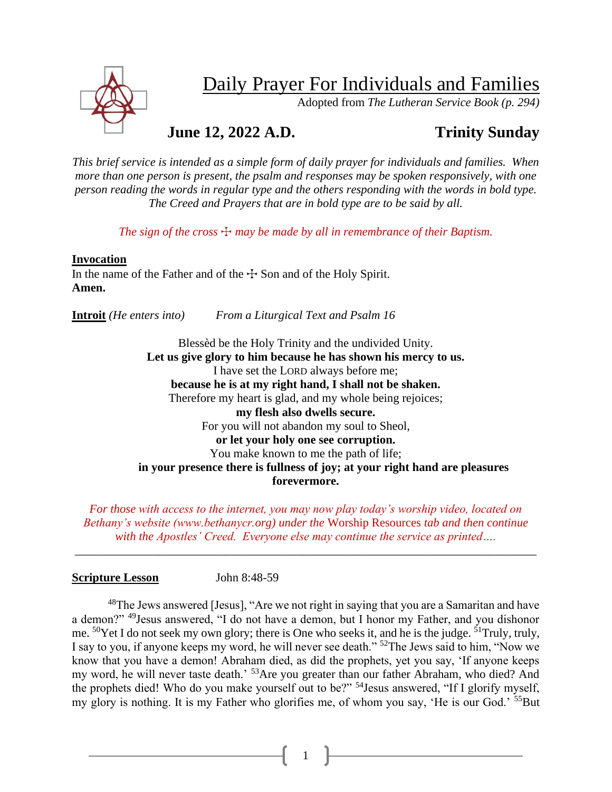Daily Prayer For Individuals and Families

# Adopted from *The Lutheran Service Book (p. 294)*

# **June 12, 2022 A.D. Trinity Sunday**

*This brief service is intended as a simple form of daily prayer for individuals and families. When more than one person is present, the psalm and responses may be spoken responsively, with one person reading the words in regular type and the others responding with the words in bold type. The Creed and Prayers that are in bold type are to be said by all.*

*The sign of the cross*  $\pm$  *may be made by all in remembrance of their Baptism.* 

#### **Invocation**

In the name of the Father and of the  $\pm$  Son and of the Holy Spirit. **Amen.**

**Introit** *(He enters into) From a Liturgical Text and Psalm 16*

Blessèd be the Holy Trinity and the undivided Unity. **Let us give glory to him because he has shown his mercy to us.** I have set the LORD always before me; **because he is at my right hand, I shall not be shaken.** Therefore my heart is glad, and my whole being rejoices; **my flesh also dwells secure.** For you will not abandon my soul to Sheol, **or let your holy one see corruption.** You make known to me the path of life; **in your presence there is fullness of joy; at your right hand are pleasures forevermore.**

*For those with access to the internet, you may now play today's worship video, located on Bethany's website (www.bethanycr.org) under the* Worship Resources *tab and then continue with the Apostles' Creed. Everyone else may continue the service as printed….*

\_\_\_\_\_\_\_\_\_\_\_\_\_\_\_\_\_\_\_\_\_\_\_\_\_\_\_\_\_\_\_\_\_\_\_\_\_\_\_\_\_\_\_\_\_\_\_\_\_\_\_\_\_\_\_\_\_\_\_\_\_\_\_\_\_\_\_\_\_\_\_\_\_\_\_\_\_

### **Scripture Lesson** John 8:48-59

<sup>48</sup>The Jews answered [Jesus], "Are we not right in saying that you are a Samaritan and have a demon?" <sup>49</sup>Jesus answered, "I do not have a demon, but I honor my Father, and you dishonor me.  $50$ Yet I do not seek my own glory; there is One who seeks it, and he is the judge.  $51$ Truly, truly, I say to you, if anyone keeps my word, he will never see death." <sup>52</sup>The Jews said to him, "Now we know that you have a demon! Abraham died, as did the prophets, yet you say, 'If anyone keeps my word, he will never taste death.' <sup>53</sup>Are you greater than our father Abraham, who died? And the prophets died! Who do you make yourself out to be?" <sup>54</sup>Jesus answered, "If I glorify myself, my glory is nothing. It is my Father who glorifies me, of whom you say, 'He is our God.' <sup>55</sup>But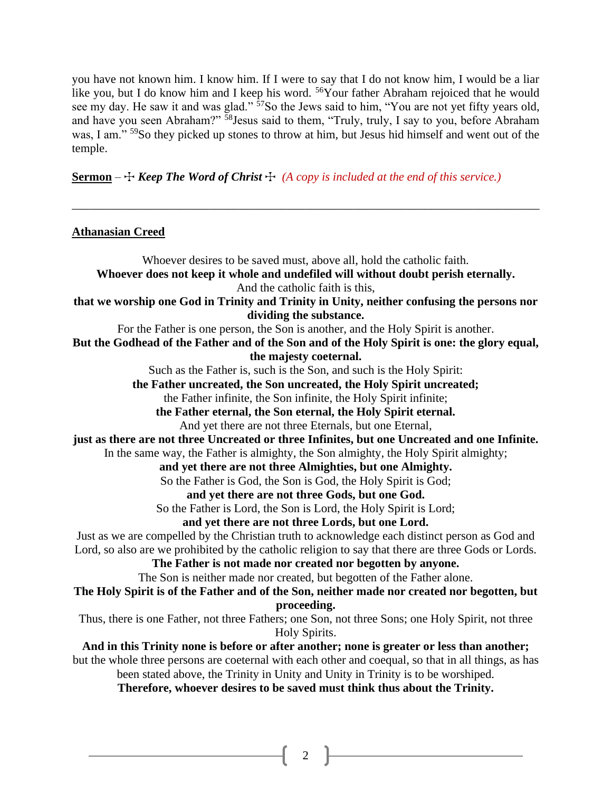you have not known him. I know him. If I were to say that I do not know him, I would be a liar like you, but I do know him and I keep his word.  $56$ Your father Abraham rejoiced that he would see my day. He saw it and was glad." <sup>57</sup>So the Jews said to him, "You are not yet fifty years old, and have you seen Abraham?" <sup>58</sup>Jesus said to them, "Truly, truly, I say to you, before Abraham was, I am." <sup>59</sup>So they picked up stones to throw at him, but Jesus hid himself and went out of the temple.

\_\_\_\_\_\_\_\_\_\_\_\_\_\_\_\_\_\_\_\_\_\_\_\_\_\_\_\_\_\_\_\_\_\_\_\_\_\_\_\_\_\_\_\_\_\_\_\_\_\_\_\_\_\_\_\_\_\_\_\_\_\_\_\_\_\_\_\_\_\_\_\_\_\_\_\_\_\_

**Sermon** –  $\pm$  *Keep The Word of Christ*  $\pm$  *(A copy is included at the end of this service.)* 

#### **Athanasian Creed**

Whoever desires to be saved must, above all, hold the catholic faith. **Whoever does not keep it whole and undefiled will without doubt perish eternally.** And the catholic faith is this, **that we worship one God in Trinity and Trinity in Unity, neither confusing the persons nor dividing the substance.** For the Father is one person, the Son is another, and the Holy Spirit is another. **But the Godhead of the Father and of the Son and of the Holy Spirit is one: the glory equal, the majesty coeternal.** Such as the Father is, such is the Son, and such is the Holy Spirit: **the Father uncreated, the Son uncreated, the Holy Spirit uncreated;** the Father infinite, the Son infinite, the Holy Spirit infinite; **the Father eternal, the Son eternal, the Holy Spirit eternal.** And yet there are not three Eternals, but one Eternal, **just as there are not three Uncreated or three Infinites, but one Uncreated and one Infinite.** In the same way, the Father is almighty, the Son almighty, the Holy Spirit almighty; **and yet there are not three Almighties, but one Almighty.** So the Father is God, the Son is God, the Holy Spirit is God; **and yet there are not three Gods, but one God.** So the Father is Lord, the Son is Lord, the Holy Spirit is Lord; **and yet there are not three Lords, but one Lord.** Just as we are compelled by the Christian truth to acknowledge each distinct person as God and Lord, so also are we prohibited by the catholic religion to say that there are three Gods or Lords. **The Father is not made nor created nor begotten by anyone.** The Son is neither made nor created, but begotten of the Father alone. **The Holy Spirit is of the Father and of the Son, neither made nor created nor begotten, but proceeding.** Thus, there is one Father, not three Fathers; one Son, not three Sons; one Holy Spirit, not three Holy Spirits. **And in this Trinity none is before or after another; none is greater or less than another;** but the whole three persons are coeternal with each other and coequal, so that in all things, as has been stated above, the Trinity in Unity and Unity in Trinity is to be worshiped. **Therefore, whoever desires to be saved must think thus about the Trinity.**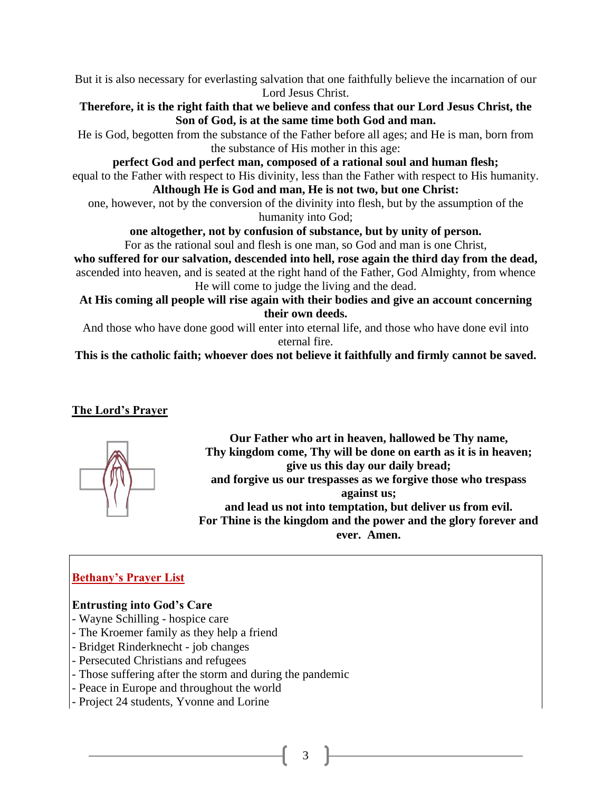But it is also necessary for everlasting salvation that one faithfully believe the incarnation of our Lord Jesus Christ.

**Therefore, it is the right faith that we believe and confess that our Lord Jesus Christ, the Son of God, is at the same time both God and man.**

He is God, begotten from the substance of the Father before all ages; and He is man, born from the substance of His mother in this age:

**perfect God and perfect man, composed of a rational soul and human flesh;**

equal to the Father with respect to His divinity, less than the Father with respect to His humanity. **Although He is God and man, He is not two, but one Christ:**

one, however, not by the conversion of the divinity into flesh, but by the assumption of the humanity into God;

**one altogether, not by confusion of substance, but by unity of person.**

For as the rational soul and flesh is one man, so God and man is one Christ,

**who suffered for our salvation, descended into hell, rose again the third day from the dead,** ascended into heaven, and is seated at the right hand of the Father, God Almighty, from whence He will come to judge the living and the dead.

**At His coming all people will rise again with their bodies and give an account concerning their own deeds.**

And those who have done good will enter into eternal life, and those who have done evil into eternal fire.

**This is the catholic faith; whoever does not believe it faithfully and firmly cannot be saved.**

# **The Lord's Prayer**



**Our Father who art in heaven, hallowed be Thy name, Thy kingdom come, Thy will be done on earth as it is in heaven; give us this day our daily bread; and forgive us our trespasses as we forgive those who trespass against us; and lead us not into temptation, but deliver us from evil. For Thine is the kingdom and the power and the glory forever and ever. Amen.**

# **Bethany's Prayer List**

### **Entrusting into God's Care**

- Wayne Schilling hospice care
- The Kroemer family as they help a friend
- Bridget Rinderknecht job changes
- Persecuted Christians and refugees
- Those suffering after the storm and during the pandemic
- Peace in Europe and throughout the world
- Project 24 students, Yvonne and Lorine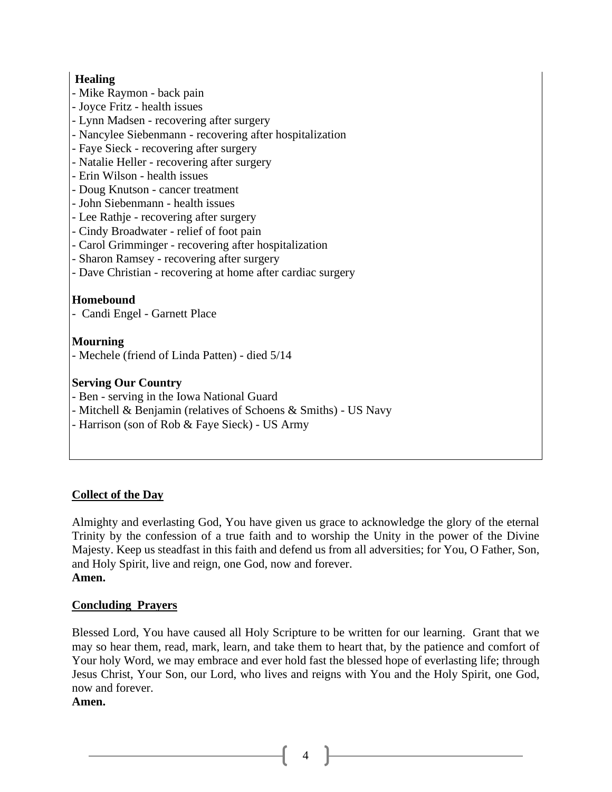# **Healing**

- Mike Raymon back pain
- Joyce Fritz health issues
- Lynn Madsen recovering after surgery
- Nancylee Siebenmann recovering after hospitalization
- Faye Sieck recovering after surgery
- Natalie Heller recovering after surgery
- Erin Wilson health issues
- Doug Knutson cancer treatment
- John Siebenmann health issues
- Lee Rathje recovering after surgery
- Cindy Broadwater relief of foot pain
- Carol Grimminger recovering after hospitalization
- Sharon Ramsey recovering after surgery
- Dave Christian recovering at home after cardiac surgery

## **Homebound**

- Candi Engel - Garnett Place

# **Mourning**

- Mechele (friend of Linda Patten) - died 5/14

## **Serving Our Country**

- Ben serving in the Iowa National Guard
- Mitchell & Benjamin (relatives of Schoens & Smiths) US Navy
- Harrison (son of Rob & Faye Sieck) US Army

# **Collect of the Day**

Almighty and everlasting God, You have given us grace to acknowledge the glory of the eternal Trinity by the confession of a true faith and to worship the Unity in the power of the Divine Majesty. Keep us steadfast in this faith and defend us from all adversities; for You, O Father, Son, and Holy Spirit, live and reign, one God, now and forever. **Amen.**

# **Concluding Prayers**

Blessed Lord, You have caused all Holy Scripture to be written for our learning. Grant that we may so hear them, read, mark, learn, and take them to heart that, by the patience and comfort of Your holy Word, we may embrace and ever hold fast the blessed hope of everlasting life; through Jesus Christ, Your Son, our Lord, who lives and reigns with You and the Holy Spirit, one God, now and forever.

**Amen.**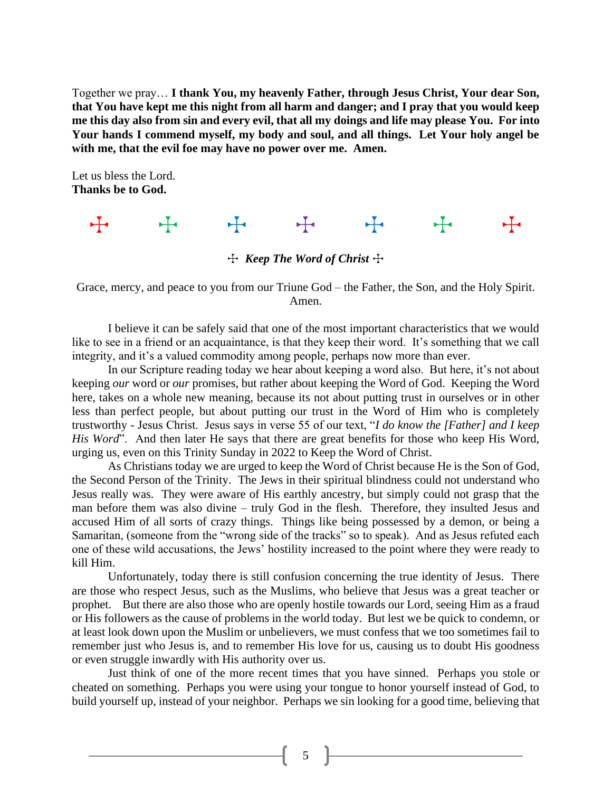Together we pray… **I thank You, my heavenly Father, through Jesus Christ, Your dear Son, that You have kept me this night from all harm and danger; and I pray that you would keep me this day also from sin and every evil, that all my doings and life may please You. For into Your hands I commend myself, my body and soul, and all things. Let Your holy angel be with me, that the evil foe may have no power over me. Amen.**

Let us bless the Lord. **Thanks be to God.**



Grace, mercy, and peace to you from our Triune God – the Father, the Son, and the Holy Spirit. Amen.

I believe it can be safely said that one of the most important characteristics that we would like to see in a friend or an acquaintance, is that they keep their word. It's something that we call integrity, and it's a valued commodity among people, perhaps now more than ever.

In our Scripture reading today we hear about keeping a word also. But here, it's not about keeping *our* word or *our* promises, but rather about keeping the Word of God. Keeping the Word here, takes on a whole new meaning, because its not about putting trust in ourselves or in other less than perfect people, but about putting our trust in the Word of Him who is completely trustworthy - Jesus Christ. Jesus says in verse 55 of our text, "*I do know the [Father] and I keep His Word*". And then later He says that there are great benefits for those who keep His Word, urging us, even on this Trinity Sunday in 2022 to Keep the Word of Christ.

As Christians today we are urged to keep the Word of Christ because He is the Son of God, the Second Person of the Trinity. The Jews in their spiritual blindness could not understand who Jesus really was. They were aware of His earthly ancestry, but simply could not grasp that the man before them was also divine – truly God in the flesh. Therefore, they insulted Jesus and accused Him of all sorts of crazy things. Things like being possessed by a demon, or being a Samaritan, (someone from the "wrong side of the tracks" so to speak). And as Jesus refuted each one of these wild accusations, the Jews' hostility increased to the point where they were ready to kill Him.

Unfortunately, today there is still confusion concerning the true identity of Jesus. There are those who respect Jesus, such as the Muslims, who believe that Jesus was a great teacher or prophet. But there are also those who are openly hostile towards our Lord, seeing Him as a fraud or His followers as the cause of problems in the world today. But lest we be quick to condemn, or at least look down upon the Muslim or unbelievers, we must confess that we too sometimes fail to remember just who Jesus is, and to remember His love for us, causing us to doubt His goodness or even struggle inwardly with His authority over us.

Just think of one of the more recent times that you have sinned. Perhaps you stole or cheated on something. Perhaps you were using your tongue to honor yourself instead of God, to build yourself up, instead of your neighbor. Perhaps we sin looking for a good time, believing that